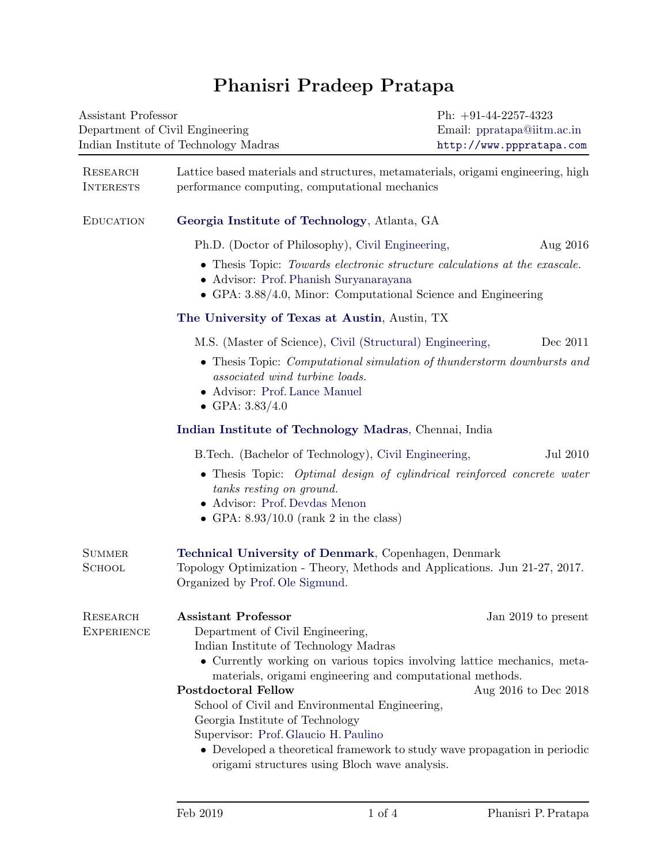## Phanisri Pradeep Pratapa

| Assistant Professor<br>Department of Civil Engineering<br>Indian Institute of Technology Madras |                                                                                                                                                                                                                                                                                                                                                                                                                                                                                                                                           | Ph: $+91-44-2257-4323$<br>Email: ppratapa@iitm.ac.in<br>http://www.pppratapa.com |  |  |
|-------------------------------------------------------------------------------------------------|-------------------------------------------------------------------------------------------------------------------------------------------------------------------------------------------------------------------------------------------------------------------------------------------------------------------------------------------------------------------------------------------------------------------------------------------------------------------------------------------------------------------------------------------|----------------------------------------------------------------------------------|--|--|
| RESEARCH<br><b>INTERESTS</b>                                                                    | Lattice based materials and structures, metamaterials, origami engineering, high<br>performance computing, computational mechanics                                                                                                                                                                                                                                                                                                                                                                                                        |                                                                                  |  |  |
| <b>EDUCATION</b>                                                                                | Georgia Institute of Technology, Atlanta, GA                                                                                                                                                                                                                                                                                                                                                                                                                                                                                              |                                                                                  |  |  |
|                                                                                                 | Ph.D. (Doctor of Philosophy), Civil Engineering,                                                                                                                                                                                                                                                                                                                                                                                                                                                                                          | Aug 2016                                                                         |  |  |
|                                                                                                 | • Thesis Topic: Towards electronic structure calculations at the exascale.<br>• Advisor: Prof. Phanish Suryanarayana<br>• GPA: $3.88/4.0$ , Minor: Computational Science and Engineering<br>The University of Texas at Austin, Austin, TX                                                                                                                                                                                                                                                                                                 |                                                                                  |  |  |
|                                                                                                 |                                                                                                                                                                                                                                                                                                                                                                                                                                                                                                                                           |                                                                                  |  |  |
|                                                                                                 | M.S. (Master of Science), Civil (Structural) Engineering,                                                                                                                                                                                                                                                                                                                                                                                                                                                                                 | Dec 2011                                                                         |  |  |
|                                                                                                 | • Thesis Topic: <i>Computational simulation of thunderstorm downbursts and</i><br>associated wind turbine loads.<br>$\bullet\,$ Advisor: Prof. Lance Manuel<br>• GPA: $3.83/4.0$                                                                                                                                                                                                                                                                                                                                                          |                                                                                  |  |  |
|                                                                                                 | Indian Institute of Technology Madras, Chennai, India                                                                                                                                                                                                                                                                                                                                                                                                                                                                                     |                                                                                  |  |  |
|                                                                                                 | B. Tech. (Bachelor of Technology), Civil Engineering,<br>Jul 2010                                                                                                                                                                                                                                                                                                                                                                                                                                                                         |                                                                                  |  |  |
|                                                                                                 | • Thesis Topic: Optimal design of cylindrical reinforced concrete water<br>tanks resting on ground.<br>• Advisor: Prof. Devdas Menon<br>• GPA: $8.93/10.0$ (rank 2 in the class)                                                                                                                                                                                                                                                                                                                                                          |                                                                                  |  |  |
| <b>SUMMER</b><br><b>SCHOOL</b>                                                                  | Technical University of Denmark, Copenhagen, Denmark<br>Topology Optimization - Theory, Methods and Applications. Jun 21-27, 2017.<br>Organized by Prof. Ole Sigmund.                                                                                                                                                                                                                                                                                                                                                                     |                                                                                  |  |  |
| RESEARCH<br><b>EXPERIENCE</b>                                                                   | <b>Assistant Professor</b><br>Department of Civil Engineering,<br>Indian Institute of Technology Madras<br>• Currently working on various topics involving lattice mechanics, meta-<br>materials, origami engineering and computational methods.<br><b>Postdoctoral Fellow</b><br>School of Civil and Environmental Engineering,<br>Georgia Institute of Technology<br>Supervisor: Prof. Glaucio H. Paulino<br>• Developed a theoretical framework to study wave propagation in periodic<br>origami structures using Bloch wave analysis. | Jan 2019 to present<br>Aug 2016 to Dec 2018                                      |  |  |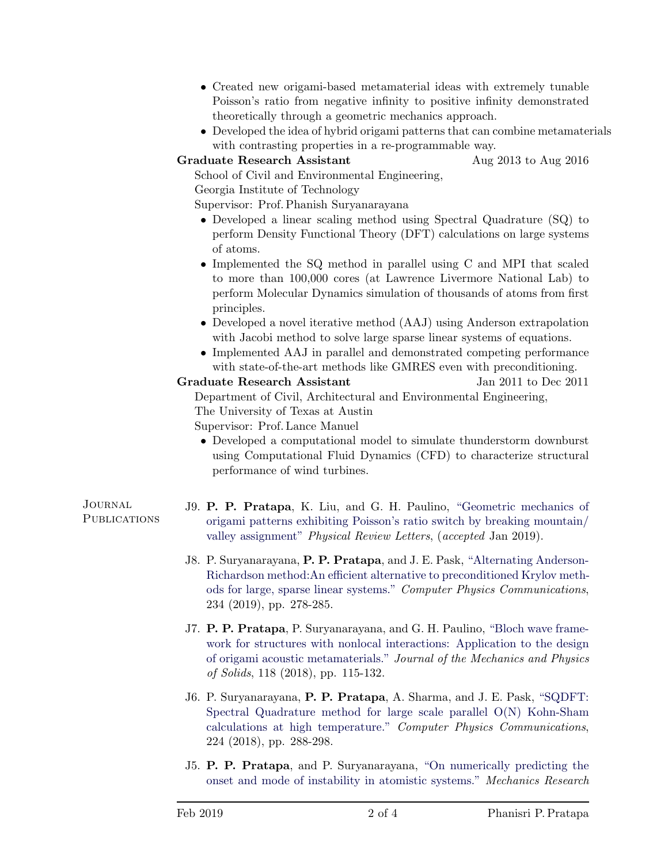- Created new origami-based metamaterial ideas with extremely tunable Poisson's ratio from negative infinity to positive infinity demonstrated theoretically through a geometric mechanics approach.
- Developed the idea of hybrid origami patterns that can combine metamaterials with contrasting properties in a re-programmable way.

Graduate Research Assistant Aug 2013 to Aug 2016

School of Civil and Environmental Engineering,

Georgia Institute of Technology

Supervisor: Prof. Phanish Suryanarayana

- Developed a linear scaling method using Spectral Quadrature (SQ) to perform Density Functional Theory (DFT) calculations on large systems of atoms.
- Implemented the SQ method in parallel using C and MPI that scaled to more than 100,000 cores (at Lawrence Livermore National Lab) to perform Molecular Dynamics simulation of thousands of atoms from first principles.
- Developed a novel iterative method (AAJ) using Anderson extrapolation with Jacobi method to solve large sparse linear systems of equations.
- Implemented AAJ in parallel and demonstrated competing performance with state-of-the-art methods like GMRES even with preconditioning.

## Graduate Research Assistant Jan 2011 to Dec 2011

Department of Civil, Architectural and Environmental Engineering,

The University of Texas at Austin

Supervisor: Prof. Lance Manuel

• Developed a computational model to simulate thunderstorm downburst using Computational Fluid Dynamics (CFD) to characterize structural performance of wind turbines.

Journal **PUBLICATIONS** 

- J9. P. P. Pratapa, K. Liu, and G. H. Paulino, ["Geometric mechanics of](https://journals.aps.org/prl/accepted/1f079Yc6J351245ed7b37d44b4b51c80e817c6a70) [origami patterns exhibiting Poisson's ratio switch by breaking mountain/](https://journals.aps.org/prl/accepted/1f079Yc6J351245ed7b37d44b4b51c80e817c6a70) [valley assignment"](https://journals.aps.org/prl/accepted/1f079Yc6J351245ed7b37d44b4b51c80e817c6a70) Physical Review Letters, (accepted Jan 2019).
- J8. P. Suryanarayana, P. P. Pratapa, and J. E. Pask, ["Alternating Anderson-](https://doi.org/10.1016/j.cpc.2018.07.007)[Richardson method:An efficient alternative to preconditioned Krylov meth](https://doi.org/10.1016/j.cpc.2018.07.007)[ods for large, sparse linear systems."](https://doi.org/10.1016/j.cpc.2018.07.007) Computer Physics Communications, 234 (2019), pp. 278-285.
- J7. P. P. Pratapa, P. Suryanarayana, and G. H. Paulino, ["Bloch wave frame](https://doi.org/10.1016/j.jmps.2018.05.012)[work for structures with nonlocal interactions: Application to the design](https://doi.org/10.1016/j.jmps.2018.05.012) [of origami acoustic metamaterials."](https://doi.org/10.1016/j.jmps.2018.05.012) Journal of the Mechanics and Physics of Solids, 118 (2018), pp. 115-132.
- J6. P. Suryanarayana, P. P. Pratapa, A. Sharma, and J. E. Pask, ["SQDFT:](https://doi.org/10.1016/j.cpc.2017.12.003) [Spectral Quadrature method for large scale parallel O\(N\) Kohn-Sham](https://doi.org/10.1016/j.cpc.2017.12.003) [calculations at high temperature."](https://doi.org/10.1016/j.cpc.2017.12.003) Computer Physics Communications, 224 (2018), pp. 288-298.
- J5. P. P. Pratapa, and P. Suryanarayana, ["On numerically predicting the](https://doi.org/10.1016/j.mechrescom.2016.05.001) [onset and mode of instability in atomistic systems."](https://doi.org/10.1016/j.mechrescom.2016.05.001) Mechanics Research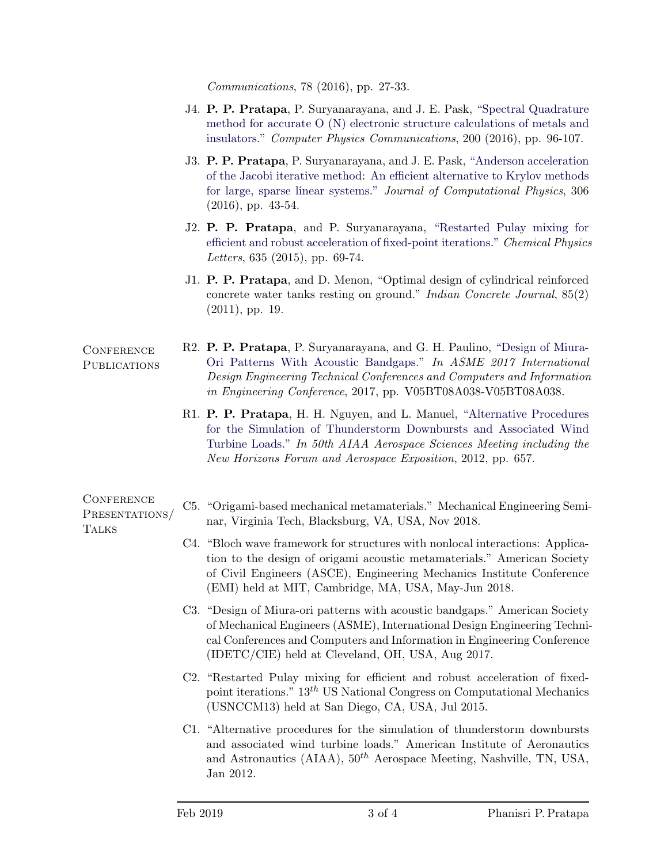Communications, 78 (2016), pp. 27-33.

- J4. P. P. Pratapa, P. Suryanarayana, and J. E. Pask, ["Spectral Quadrature](https://doi.org/10.1016/j.cpc.2015.11.005) [method for accurate O \(N\) electronic structure calculations of metals and](https://doi.org/10.1016/j.cpc.2015.11.005) [insulators."](https://doi.org/10.1016/j.cpc.2015.11.005) Computer Physics Communications, 200 (2016), pp. 96-107.
- J3. P. P. Pratapa, P. Suryanarayana, and J. E. Pask, ["Anderson acceleration](https://doi.org/10.1016/j.jcp.2015.11.018) [of the Jacobi iterative method: An efficient alternative to Krylov methods](https://doi.org/10.1016/j.jcp.2015.11.018) [for large, sparse linear systems."](https://doi.org/10.1016/j.jcp.2015.11.018) Journal of Computational Physics, 306 (2016), pp. 43-54.
- J2. P. P. Pratapa, and P. Suryanarayana, ["Restarted Pulay mixing for](https://doi.org/10.1016/j.cplett.2015.06.029) [efficient and robust acceleration of fixed-point iterations."](https://doi.org/10.1016/j.cplett.2015.06.029) Chemical Physics Letters, 635 (2015), pp. 69-74.
- J1. P. P. Pratapa, and D. Menon, "Optimal design of cylindrical reinforced concrete water tanks resting on ground." Indian Concrete Journal, 85(2) (2011), pp. 19.
- **CONFERENCE PUBLICATIONS** R2. P. P. Pratapa, P. Suryanarayana, and G. H. Paulino, ["Design of Miura-](http://proceedings.asmedigitalcollection.asme.org/proceeding.aspx?articleid=2662281)[Ori Patterns With Acoustic Bandgaps."](http://proceedings.asmedigitalcollection.asme.org/proceeding.aspx?articleid=2662281) In ASME 2017 International Design Engineering Technical Conferences and Computers and Information in Engineering Conference, 2017, pp. V05BT08A038-V05BT08A038.
	- R1. P. P. Pratapa, H. H. Nguyen, and L. Manuel, ["Alternative Procedures](https://arc.aiaa.org/doi/pdf/10.2514/6.2012-657) [for the Simulation of Thunderstorm Downbursts and Associated Wind](https://arc.aiaa.org/doi/pdf/10.2514/6.2012-657) [Turbine Loads."](https://arc.aiaa.org/doi/pdf/10.2514/6.2012-657) In 50th AIAA Aerospace Sciences Meeting including the New Horizons Forum and Aerospace Exposition, 2012, pp. 657.

| <b>CONFERENCE</b><br>PRESENTATIONS/<br><b>TALKS</b> | C5. "Origami-based mechanical metamaterials." Mechanical Engineering Semi-<br>nar, Virginia Tech, Blacksburg, VA, USA, Nov 2018.                                                                                                                                                          |
|-----------------------------------------------------|-------------------------------------------------------------------------------------------------------------------------------------------------------------------------------------------------------------------------------------------------------------------------------------------|
|                                                     | C4. "Bloch wave framework for structures with nonlocal interactions: Applica-<br>tion to the design of origami acoustic metamaterials." American Society<br>of Civil Engineers (ASCE), Engineering Mechanics Institute Conference<br>(EMI) held at MIT, Cambridge, MA, USA, May-Jun 2018. |
|                                                     | C3. "Design of Miura-ori patterns with acoustic bandgaps." American Society<br>of Mechanical Engineers (ASME), International Design Engineering Techni-<br>cal Conferences and Computers and Information in Engineering Conference<br>(IDETC/CIE) held at Cleveland, OH, USA, Aug 2017.   |
|                                                     |                                                                                                                                                                                                                                                                                           |

- C2. "Restarted Pulay mixing for efficient and robust acceleration of fixedpoint iterations."  $13<sup>th</sup>$  US National Congress on Computational Mechanics (USNCCM13) held at San Diego, CA, USA, Jul 2015.
- C1. "Alternative procedures for the simulation of thunderstorm downbursts and associated wind turbine loads." American Institute of Aeronautics and Astronautics (AIAA),  $50^{th}$  Aerospace Meeting, Nashville, TN, USA, Jan 2012.